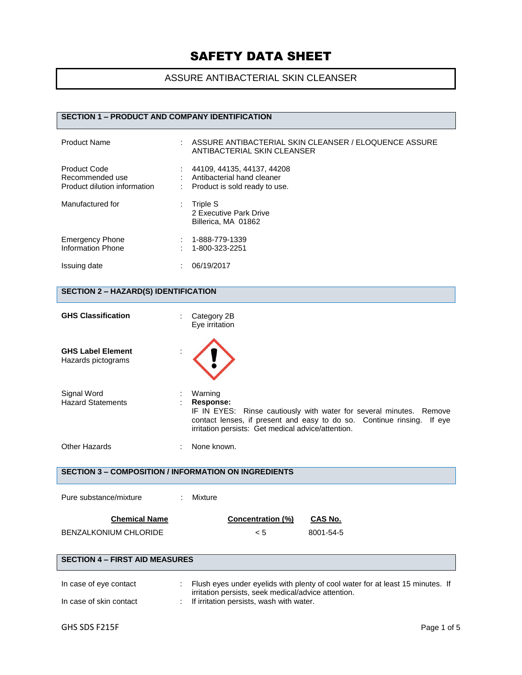## ASSURE ANTIBACTERIAL SKIN CLEANSER

### **SECTION 1 – PRODUCT AND COMPANY IDENTIFICATION**

| <b>Product Name</b>                                                    | ASSURE ANTIBACTERIAL SKIN CLEANSER / ELOQUENCE ASSURE<br>ANTIBACTERIAL SKIN CLEANSER      |
|------------------------------------------------------------------------|-------------------------------------------------------------------------------------------|
| <b>Product Code</b><br>Recommended use<br>Product dilution information | 44109, 44135, 44137, 44208<br>Antibacterial hand cleaner<br>Product is sold ready to use. |
| Manufactured for                                                       | Triple S<br>2 Executive Park Drive<br>Billerica, MA 01862                                 |
| <b>Emergency Phone</b><br><b>Information Phone</b>                     | 1-888-779-1339<br>1-800-323-2251                                                          |
| Issuing date                                                           | 06/19/2017                                                                                |

## **SECTION 2 – HAZARD(S) IDENTIFICATION**

| <b>GHS Classification</b>                                   |    | Category 2B<br>Eye irritation                                                                                                                                                                                                  |  |
|-------------------------------------------------------------|----|--------------------------------------------------------------------------------------------------------------------------------------------------------------------------------------------------------------------------------|--|
| <b>GHS Label Element</b><br>Hazards pictograms              |    |                                                                                                                                                                                                                                |  |
| Signal Word<br><b>Hazard Statements</b>                     |    | Warning<br>Response:<br>IF IN EYES: Rinse cautiously with water for several minutes. Remove<br>contact lenses, if present and easy to do so. Continue rinsing.<br>If eye<br>irritation persists: Get medical advice/attention. |  |
| <b>Other Hazards</b>                                        |    | None known.                                                                                                                                                                                                                    |  |
| <b>SECTION 3 - COMPOSITION / INFORMATION ON INGREDIENTS</b> |    |                                                                                                                                                                                                                                |  |
| Pure substance/mixture                                      | ÷. | Mixture                                                                                                                                                                                                                        |  |
| <b>Chemical Name</b>                                        |    | <b>Concentration (%)</b><br><b>CAS No.</b>                                                                                                                                                                                     |  |
| <b>BENZALKONIUM CHLORIDE</b>                                |    | 8001-54-5<br>< 5                                                                                                                                                                                                               |  |
| <b>SECTION 4 - FIRST AID MEASURES</b>                       |    |                                                                                                                                                                                                                                |  |
| In case of eye contact<br>In case of skin contact           |    | Flush eyes under eyelids with plenty of cool water for at least 15 minutes. If<br>irritation persists, seek medical/advice attention.<br>If irritation persists, wash with water.                                              |  |
|                                                             |    |                                                                                                                                                                                                                                |  |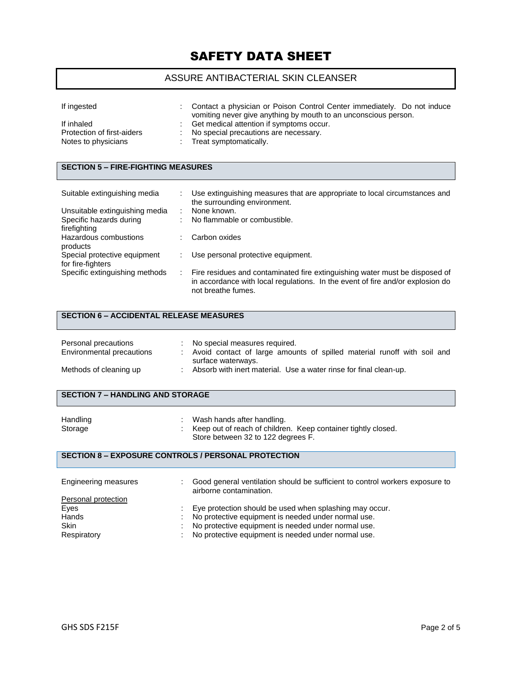### ASSURE ANTIBACTERIAL SKIN CLEANSER

| If ingested                                                     | Contact a physician or Poison Control Center immediately. Do not induce<br>vomiting never give anything by mouth to an unconscious person. |
|-----------------------------------------------------------------|--------------------------------------------------------------------------------------------------------------------------------------------|
| If inhaled<br>Protection of first-aiders<br>Notes to physicians | Get medical attention if symptoms occur.<br>: No special precautions are necessary.<br>Treat symptomatically.                              |

## **SECTION 5 – FIRE-FIGHTING MEASURES**

| Suitable extinguishing media                      | Use extinguishing measures that are appropriate to local circumstances and<br>the surrounding environment.                                                                          |
|---------------------------------------------------|-------------------------------------------------------------------------------------------------------------------------------------------------------------------------------------|
| Unsuitable extinguishing media                    | None known.                                                                                                                                                                         |
| Specific hazards during<br>firefighting           | No flammable or combustible.                                                                                                                                                        |
| Hazardous combustions<br>products                 | Carbon oxides                                                                                                                                                                       |
| Special protective equipment<br>for fire-fighters | Use personal protective equipment.                                                                                                                                                  |
| Specific extinguishing methods                    | Fire residues and contaminated fire extinguishing water must be disposed of<br>in accordance with local regulations. In the event of fire and/or explosion do<br>not breathe fumes. |

### **SECTION 6 – ACCIDENTAL RELEASE MEASURES**

| Personal precautions<br>Environmental precautions | No special measures required.<br>Avoid contact of large amounts of spilled material runoff with soil and<br>surface waterways. |
|---------------------------------------------------|--------------------------------------------------------------------------------------------------------------------------------|
| Methods of cleaning up                            | Absorb with inert material. Use a water rinse for final clean-up.                                                              |

## **SECTION 7 – HANDLING AND STORAGE**

| Handling | Wash hands after handling.                                    |
|----------|---------------------------------------------------------------|
| Storage  | Keep out of reach of children. Keep container tightly closed. |
|          | Store between 32 to 122 degrees F.                            |

#### **SECTION 8 – EXPOSURE CONTROLS / PERSONAL PROTECTION**

| Engineering measures |   | Good general ventilation should be sufficient to control workers exposure to<br>airborne contamination. |  |
|----------------------|---|---------------------------------------------------------------------------------------------------------|--|
| Personal protection  |   |                                                                                                         |  |
| Eyes                 |   | Eye protection should be used when splashing may occur.                                                 |  |
| Hands                |   | No protective equipment is needed under normal use.                                                     |  |
| <b>Skin</b>          | ÷ | No protective equipment is needed under normal use.                                                     |  |
| Respiratory          |   | No protective equipment is needed under normal use.                                                     |  |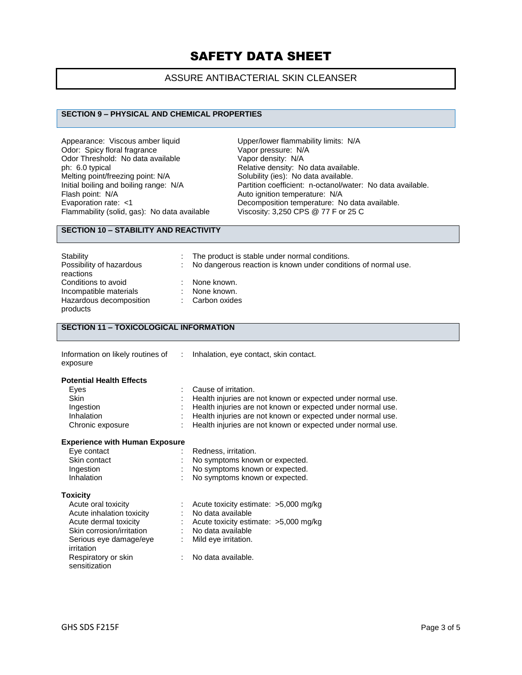### ASSURE ANTIBACTERIAL SKIN CLEANSER

#### **SECTION 9 – PHYSICAL AND CHEMICAL PROPERTIES**

Appearance: Viscous amber liquid Upper/lower flammability limits: N/A<br>Odor: Spicy floral fragrance Vapor pressure: N/A Odor: Spicy floral fragrance<br>
Odor Threshold: No data available<br>
Vapor density: N/A Odor Threshold: No data available<br>ph: 6.0 typical ph: 6.0 typical **Phick of the Control of Control** Relative density: No data available.<br>
Melting point/freezing point: N/A **Solubility** (ies): No data available. Melting point/freezing point: N/A Solubility (ies): No data available.<br>
Initial boiling and boiling range: N/A Partition coefficient: n-octanol/wat Flash point: N/A<br>
Evaporation rate: <1 Channel Autor: Necomposition temperature: N/A Flammability (solid, gas): No data available

Initial boiling and boiling range: N/A Partition coefficient: n-octanol/water: No data available.<br>Flash point: N/A Ruto ignition temperature: N/A Decomposition temperature: No data available.<br>Viscosity: 3,250 CPS @ 77 F or 25 C

#### **SECTION 10 – STABILITY AND REACTIVITY**

| Stability<br>Possibility of hazardous<br>reactions                                   | The product is stable under normal conditions.<br>No dangerous reaction is known under conditions of normal use. |
|--------------------------------------------------------------------------------------|------------------------------------------------------------------------------------------------------------------|
| Conditions to avoid<br>Incompatible materials<br>Hazardous decomposition<br>products | None known.<br>None known.<br>: Carbon oxides                                                                    |

### **SECTION 11 – TOXICOLOGICAL INFORMATION**

| Information on likely routines of |
|-----------------------------------|
| exposure                          |

: Inhalation, eye contact, skin contact.

#### **Potential Health Effects**

| Eves             | : Cause of irritation.                                        |
|------------------|---------------------------------------------------------------|
| <b>Skin</b>      | : Health injuries are not known or expected under normal use. |
| Ingestion        | : Health injuries are not known or expected under normal use. |
| Inhalation       | : Health injuries are not known or expected under normal use. |
| Chronic exposure | : Health injuries are not known or expected under normal use. |

#### **Experience with Human Exposure**

| Eye contact  | Redness, irritation.             |
|--------------|----------------------------------|
| Skin contact | : No symptoms known or expected. |
| Ingestion    | : No symptoms known or expected. |
| Inhalation   | : No symptoms known or expected. |

#### **Toxicity**

| Acute oral toxicity       | : Acute toxicity estimate: $>5,000$ mg/kg |
|---------------------------|-------------------------------------------|
| Acute inhalation toxicity | : No data available                       |
| Acute dermal toxicity     | : Acute toxicity estimate: $>5,000$ mg/kg |
| Skin corrosion/irritation | No data available                         |
| Serious eye damage/eye    | : Mild eye irritation.                    |
| irritation                |                                           |
| Respiratory or skin       | : No data available.                      |
| sensitization             |                                           |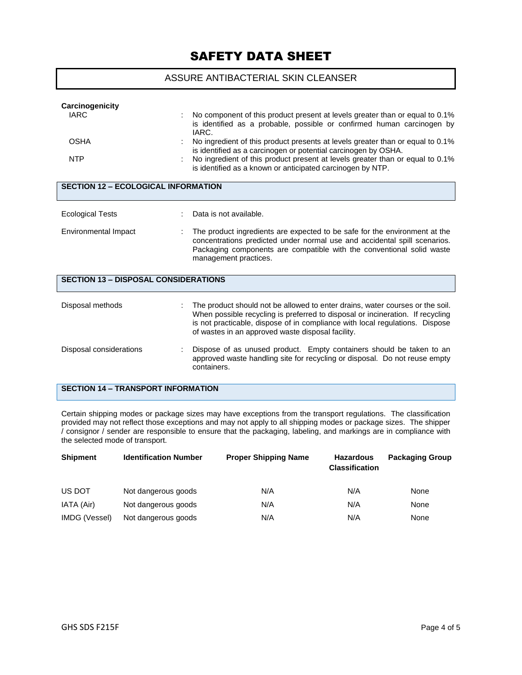#### ASSURE ANTIBACTERIAL SKIN CLEANSER

| Carcinogenicity<br><b>IARC</b><br><b>OSHA</b><br><b>NTP</b> | No component of this product present at levels greater than or equal to 0.1%<br>is identified as a probable, possible or confirmed human carcinogen by<br>IARC.<br>No ingredient of this product presents at levels greater than or equal to 0.1%<br>is identified as a carcinogen or potential carcinogen by OSHA.<br>No ingredient of this product present at levels greater than or equal to 0.1% |  |  |  |  |
|-------------------------------------------------------------|------------------------------------------------------------------------------------------------------------------------------------------------------------------------------------------------------------------------------------------------------------------------------------------------------------------------------------------------------------------------------------------------------|--|--|--|--|
|                                                             | is identified as a known or anticipated carcinogen by NTP.                                                                                                                                                                                                                                                                                                                                           |  |  |  |  |
| <b>SECTION 12 - ECOLOGICAL INFORMATION</b>                  |                                                                                                                                                                                                                                                                                                                                                                                                      |  |  |  |  |
| <b>Ecological Tests</b>                                     | Data is not available.                                                                                                                                                                                                                                                                                                                                                                               |  |  |  |  |
| Environmental Impact                                        | The product ingredients are expected to be safe for the environment at the<br>concentrations predicted under normal use and accidental spill scenarios.<br>Packaging components are compatible with the conventional solid waste<br>management practices.                                                                                                                                            |  |  |  |  |
| <b>SECTION 13 - DISPOSAL CONSIDERATIONS</b>                 |                                                                                                                                                                                                                                                                                                                                                                                                      |  |  |  |  |
| Disposal methods                                            | The product should not be allowed to enter drains, water courses or the soil.<br>When possible recycling is preferred to disposal or incineration. If recycling<br>is not practicable, dispose of in compliance with local regulations. Dispose<br>of wastes in an approved waste disposal facility.                                                                                                 |  |  |  |  |
| Disposal considerations                                     | Dispose of as unused product. Empty containers should be taken to an<br>approved waste handling site for recycling or disposal. Do not reuse empty<br>containers.                                                                                                                                                                                                                                    |  |  |  |  |
| <b>SECTION 14 - TRANSPORT INFORMATION</b>                   |                                                                                                                                                                                                                                                                                                                                                                                                      |  |  |  |  |

Certain shipping modes or package sizes may have exceptions from the transport regulations. The classification provided may not reflect those exceptions and may not apply to all shipping modes or package sizes. The shipper / consignor / sender are responsible to ensure that the packaging, labeling, and markings are in compliance with the selected mode of transport.

| <b>Shipment</b> | <b>Identification Number</b> | <b>Proper Shipping Name</b> | <b>Hazardous</b><br><b>Classification</b> | <b>Packaging Group</b> |
|-----------------|------------------------------|-----------------------------|-------------------------------------------|------------------------|
| US DOT          | Not dangerous goods          | N/A                         | N/A                                       | None                   |
| IATA (Air)      | Not dangerous goods          | N/A                         | N/A                                       | None                   |
| IMDG (Vessel)   | Not dangerous goods          | N/A                         | N/A                                       | None                   |